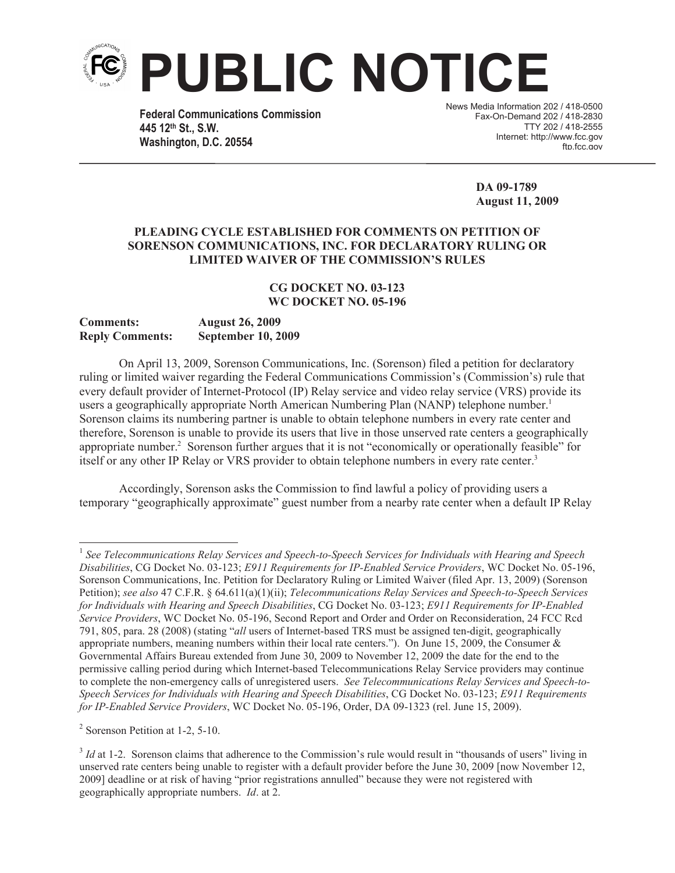

**Federal Communications Commission 445 12th St., S.W. Washington, D.C. 20554**

News Media Information 202 / 418-0500 Fax-On-Demand 202 / 418-2830 TTY 202 / 418-2555 Internet: http://www.fcc.gov ftn.fcc.gov

> **DA 09-1789 August 11, 2009**

## **PLEADING CYCLE ESTABLISHED FOR COMMENTS ON PETITION OF SORENSON COMMUNICATIONS, INC. FOR DECLARATORY RULING OR LIMITED WAIVER OF THE COMMISSION'S RULES**

## **CG DOCKET NO. 03-123 WC DOCKET NO. 05-196**

## **Comments: August 26, 2009 Reply Comments: September 10, 2009**

On April 13, 2009, Sorenson Communications, Inc. (Sorenson) filed a petition for declaratory ruling or limited waiver regarding the Federal Communications Commission's (Commission's) rule that every default provider of Internet-Protocol (IP) Relay service and video relay service (VRS) provide its users a geographically appropriate North American Numbering Plan (NANP) telephone number.<sup>1</sup> Sorenson claims its numbering partner is unable to obtain telephone numbers in every rate center and therefore, Sorenson is unable to provide its users that live in those unserved rate centers a geographically appropriate number.<sup>2</sup> Sorenson further argues that it is not "economically or operationally feasible" for itself or any other IP Relay or VRS provider to obtain telephone numbers in every rate center.<sup>3</sup>

Accordingly, Sorenson asks the Commission to find lawful a policy of providing users a temporary "geographically approximate" guest number from a nearby rate center when a default IP Relay

<sup>1</sup> *See Telecommunications Relay Services and Speech-to-Speech Services for Individuals with Hearing and Speech Disabilities*, CG Docket No. 03-123; *E911 Requirements for IP-Enabled Service Providers*, WC Docket No. 05-196, Sorenson Communications, Inc. Petition for Declaratory Ruling or Limited Waiver (filed Apr. 13, 2009) (Sorenson Petition); *see also* 47 C.F.R. § 64.611(a)(1)(ii); *Telecommunications Relay Services and Speech-to-Speech Services for Individuals with Hearing and Speech Disabilities*, CG Docket No. 03-123; *E911 Requirements for IP-Enabled Service Providers*, WC Docket No. 05-196, Second Report and Order and Order on Reconsideration, 24 FCC Rcd 791, 805, para. 28 (2008) (stating "*all* users of Internet-based TRS must be assigned ten-digit, geographically appropriate numbers, meaning numbers within their local rate centers."). On June 15, 2009, the Consumer & Governmental Affairs Bureau extended from June 30, 2009 to November 12, 2009 the date for the end to the permissive calling period during which Internet-based Telecommunications Relay Service providers may continue to complete the non-emergency calls of unregistered users. *See Telecommunications Relay Services and Speech-to-Speech Services for Individuals with Hearing and Speech Disabilities*, CG Docket No. 03-123; *E911 Requirements for IP-Enabled Service Providers*, WC Docket No. 05-196, Order, DA 09-1323 (rel. June 15, 2009).

<sup>&</sup>lt;sup>2</sup> Sorenson Petition at 1-2, 5-10.

<sup>&</sup>lt;sup>3</sup> *Id* at 1-2. Sorenson claims that adherence to the Commission's rule would result in "thousands of users" living in unserved rate centers being unable to register with a default provider before the June 30, 2009 [now November 12, 2009] deadline or at risk of having "prior registrations annulled" because they were not registered with geographically appropriate numbers. *Id*. at 2.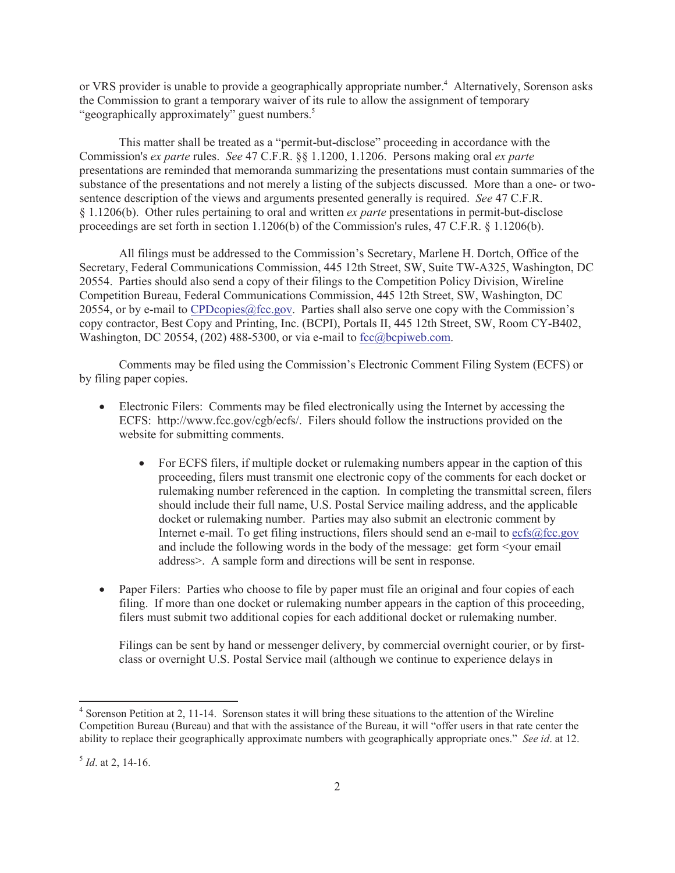or VRS provider is unable to provide a geographically appropriate number.<sup>4</sup> Alternatively, Sorenson asks the Commission to grant a temporary waiver of its rule to allow the assignment of temporary "geographically approximately" guest numbers.<sup>5</sup>

This matter shall be treated as a "permit-but-disclose" proceeding in accordance with the Commission's *ex parte* rules. *See* 47 C.F.R. §§ 1.1200, 1.1206. Persons making oral *ex parte* presentations are reminded that memoranda summarizing the presentations must contain summaries of the substance of the presentations and not merely a listing of the subjects discussed. More than a one- or twosentence description of the views and arguments presented generally is required. *See* 47 C.F.R. § 1.1206(b). Other rules pertaining to oral and written *ex parte* presentations in permit-but-disclose proceedings are set forth in section 1.1206(b) of the Commission's rules, 47 C.F.R. § 1.1206(b).

All filings must be addressed to the Commission's Secretary, Marlene H. Dortch, Office of the Secretary, Federal Communications Commission, 445 12th Street, SW, Suite TW-A325, Washington, DC 20554. Parties should also send a copy of their filings to the Competition Policy Division, Wireline Competition Bureau, Federal Communications Commission, 445 12th Street, SW, Washington, DC 20554, or by e-mail to CPDcopies@fcc.gov. Parties shall also serve one copy with the Commission's copy contractor, Best Copy and Printing, Inc. (BCPI), Portals II, 445 12th Street, SW, Room CY-B402, Washington, DC 20554, (202) 488-5300, or via e-mail to fcc@bcpiweb.com.

Comments may be filed using the Commission's Electronic Comment Filing System (ECFS) or by filing paper copies.

- Electronic Filers: Comments may be filed electronically using the Internet by accessing the ECFS: http://www.fcc.gov/cgb/ecfs/. Filers should follow the instructions provided on the website for submitting comments.
	- For ECFS filers, if multiple docket or rulemaking numbers appear in the caption of this proceeding, filers must transmit one electronic copy of the comments for each docket or rulemaking number referenced in the caption. In completing the transmittal screen, filers should include their full name, U.S. Postal Service mailing address, and the applicable docket or rulemaking number. Parties may also submit an electronic comment by Internet e-mail. To get filing instructions, filers should send an e-mail to  $\text{ecfs@fcc.gov}$ and include the following words in the body of the message: get form <your email address>. A sample form and directions will be sent in response.
- Paper Filers: Parties who choose to file by paper must file an original and four copies of each filing. If more than one docket or rulemaking number appears in the caption of this proceeding, filers must submit two additional copies for each additional docket or rulemaking number.

Filings can be sent by hand or messenger delivery, by commercial overnight courier, or by firstclass or overnight U.S. Postal Service mail (although we continue to experience delays in

<sup>&</sup>lt;sup>4</sup> Sorenson Petition at 2, 11-14. Sorenson states it will bring these situations to the attention of the Wireline Competition Bureau (Bureau) and that with the assistance of the Bureau, it will "offer users in that rate center the ability to replace their geographically approximate numbers with geographically appropriate ones." *See id*. at 12.

<sup>5</sup> *Id*. at 2, 14-16.